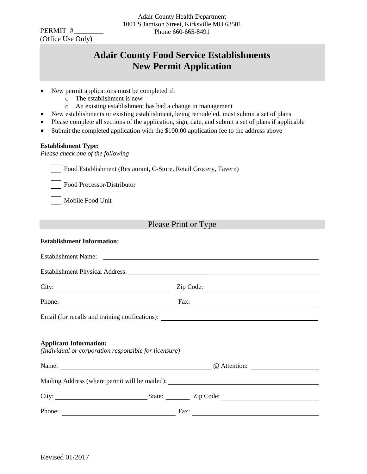PERMIT # (Office Use Only)

# **Adair County Food Service Establishments New Permit Application**

- New permit applications must be completed if:
	- o The establishment is new
	- o An existing establishment has had a change in management
- New establishments or existing establishment, being remodeled, must submit a set of plans
- Please complete all sections of the application, sign, date, and submit a set of plans if applicable
- Submit the completed application with the \$100.00 application fee to the address above

#### **Establishment Type:**

*Please check one of the following* 

|  |     | Food Establishment (Restaurant, C-Store, Retail Grocery, Tavern) |
|--|-----|------------------------------------------------------------------|
|  | --- |                                                                  |

Food Processor/Distributor

Mobile Food Unit

# Please Print or Type

#### **Establishment Information:**

| Establishment Name:                                                                    |                                                                                                                                                                                                                                                     |
|----------------------------------------------------------------------------------------|-----------------------------------------------------------------------------------------------------------------------------------------------------------------------------------------------------------------------------------------------------|
|                                                                                        |                                                                                                                                                                                                                                                     |
| City:                                                                                  | Zip Code:                                                                                                                                                                                                                                           |
| Phone:                                                                                 | Fax: $\qquad \qquad$                                                                                                                                                                                                                                |
| Email (for recalls and training notifications): _________________________________      |                                                                                                                                                                                                                                                     |
|                                                                                        |                                                                                                                                                                                                                                                     |
| <b>Applicant Information:</b><br>(Individual or corporation responsible for licensure) |                                                                                                                                                                                                                                                     |
|                                                                                        |                                                                                                                                                                                                                                                     |
|                                                                                        | Name: <u>Question:</u> Question: <u>Question:</u> Question: <u>Question:</u> Question: <u>Question: Question: Question: Question: Question: Question: Question: Question: Question: Question: Question: Question: Question: Question: Question:</u> |
| Mailing Address (where permit will be mailed): __________________________________      |                                                                                                                                                                                                                                                     |
|                                                                                        |                                                                                                                                                                                                                                                     |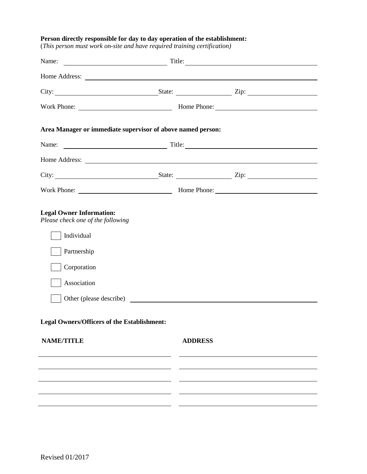#### **Person directly responsible for day to day operation of the establishment:**

(*This person must work on-site and have required training certification)*

| City: <u>City:</u> State: <u>City:</u> City: 2ip:                                                                                                                                                                                        |  |                |  |  |  |
|------------------------------------------------------------------------------------------------------------------------------------------------------------------------------------------------------------------------------------------|--|----------------|--|--|--|
|                                                                                                                                                                                                                                          |  |                |  |  |  |
| Area Manager or immediate supervisor of above named person:                                                                                                                                                                              |  |                |  |  |  |
| Name:                                                                                                                                                                                                                                    |  |                |  |  |  |
|                                                                                                                                                                                                                                          |  |                |  |  |  |
| City: <u>City:</u> City: <u>City:</u> City: City: City: City: City: City: City: City: City: City: City: City: City: City: City: City: City: City: City: City: City: City: City: City: City: City: City: City: City: City: City: City: Ci |  |                |  |  |  |
|                                                                                                                                                                                                                                          |  |                |  |  |  |
| <b>Legal Owner Information:</b><br>Please check one of the following<br>Individual<br>Partnership<br>Corporation<br>Association                                                                                                          |  |                |  |  |  |
| <b>Legal Owners/Officers of the Establishment:</b>                                                                                                                                                                                       |  |                |  |  |  |
| <b>NAME/TITLE</b>                                                                                                                                                                                                                        |  | <b>ADDRESS</b> |  |  |  |
|                                                                                                                                                                                                                                          |  |                |  |  |  |
|                                                                                                                                                                                                                                          |  |                |  |  |  |
|                                                                                                                                                                                                                                          |  |                |  |  |  |
|                                                                                                                                                                                                                                          |  |                |  |  |  |